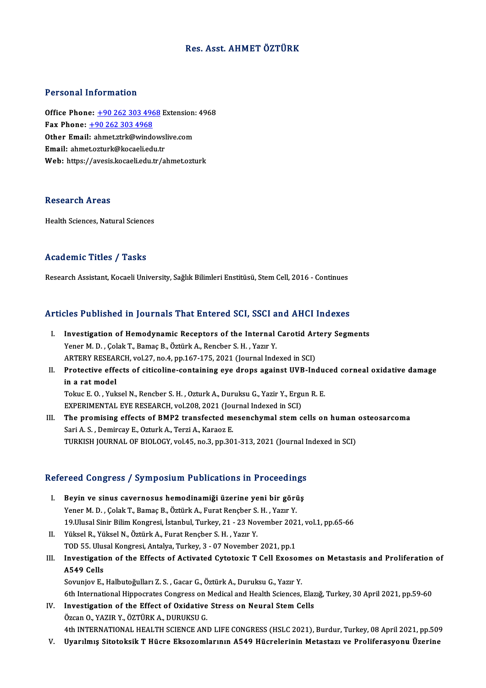### Res. Asst. AHMET ÖZTÜRK

#### Personal Information

Personal Information<br>Office Phone: <u>+90 262 303 4968</u> Extension: 4968<br>Eax Phone: 190 262 202 4969 Fax Phone: <u>+90 262 303 496</u><br>Fax Phone: <u>+90 262 303 4968</u><br>Other Email: shmet strk@winde Office Phone: <u>+90 262 303 4968</u> Extension:<br>Fax Phone: <u>+90 262 303 4968</u><br>Other Email: [ahmet.ztrk@window](tel:+90 262 303 4968)slive.com Fax Phone: <u>+90 262 303 4968</u><br>Other Email: ahmet.ztrk@windowsl<br>Email: ahmet.ozturk@kocaeli.edu.tr<br>Web: https://avesis.loopeli.edu.tr/s Other Email: ahmet.ztrk@windowslive.com<br>Email: ahmet.ozturk@kocaeli.edu.tr<br>Web: https://avesis.kocaeli.edu.tr/ahmet.ozturk

#### **Research Areas**

Health Sciences, Natural Sciences

### Academic Titles / Tasks

Research Assistant, Kocaeli University, Sağlık Bilimleri Enstitüsü, Stem Cell, 2016 - Continues

#### Articles Published in Journals That Entered SCI, SSCI and AHCI Indexes

- rticles Published in Journals That Entered SCI, SSCI and AHCI Indexes<br>I. Investigation of Hemodynamic Receptors of the Internal Carotid Artery Segments<br>Vaper M.D. Colak T. Bamas B. Östürk A. Banchar S. H. Vazur V. Investigation of Hemodynamic Receptors of the Internal<br>Yener M. D., Çolak T., Bamaç B., Öztürk A., Rencber S. H., Yazır Y.<br>APTERV RESEARCH Vol.27, no.4, nn.167,175, 2021 (Journal Inde Investigation of Hemodynamic Receptors of the Internal Carotid Ar<br>Yener M. D. , Çolak T., Bamaç B., Öztürk A., Rencber S. H. , Yazır Y.<br>ARTERY RESEARCH, vol.27, no.4, pp.167-175, 2021 (Journal Indexed in SCI)<br>Protective ef Yener M. D. , Çolak T., Bamaç B., Öztürk A., Rencber S. H. , Yazır Y.<br>ARTERY RESEARCH, vol.27, no.4, pp.167-175, 2021 (Journal Indexed in SCI)<br>II. Protective effects of citicoline-containing eye drops against UVB-Induc
- ARTERY RESEAL<br>Protective effe<br>in a rat model<br>Telne E O Yuk Protective effects of citicoline-containing eye drops against UVB-Indue<br>in a rat model<br>Tokuc E.O., Yuksel N., Rencber S. H., Ozturk A., Duruksu G., Yazir Y., Ergun R. E.<br>EXPERIMENTAL EVE PESEARCH vol 209, 2021 (Journal Ind in a rat model<br>Tokuc E. O. , Yuksel N., Rencber S. H. , Ozturk A., Duruksu G., Yazir Y., Ergu<br>EXPERIMENTAL EYE RESEARCH, vol.208, 2021 (Journal Indexed in SCI)<br>The premising effects of PMB2 transfected mesenghumal stem e

Tokuc E. O. , Yuksel N., Rencber S. H. , Ozturk A., Duruksu G., Yazir Y., Ergun R. E.<br>EXPERIMENTAL EYE RESEARCH, vol.208, 2021 (Journal Indexed in SCI)<br>III. The promising effects of BMP2 transfected mesenchymal stem cells EXPERIMENTAL EYE RESEARCH, vol.208, 2021 (Journal of the promising effects of BMP2 transfected modern in the Sari A. S., Demircay E., Ozturk A., Terzi A., Karaoz E. TURKISH JOURNAL OF BIOLOGY, vol.45, no.3, pp.301-313, 2021 (Journal Indexed in SCI)

# rokkish jooknal or biology, vol.45, no.3, pp.301-313, 2021 (journal ii<br>Refereed Congress / Symposium Publications in Proceedings

- efereed Congress / Symposium Publications in Proceedings<br>I. Beyin ve sinus cavernosus hemodinamiği üzerine yeni bir görüş<br>Xaper M.D. Colak T. Bamas B. Öztürk A. Furat Bancher S. H. Vazur V. I. Beyin ve sinus cavernosus hemodinamiği üzerine yeni bir görüş Yener M.D., Çolak T., Bamaç B., Öztürk A., Furat Rençber S.H., Yazır Y. Beyin ve sinus cavernosus hemodinamiği üzerine yeni bir görüş<br>Yener M. D. , Çolak T., Bamaç B., Öztürk A., Furat Rençber S. H. , Yazır Y.<br>19.Ulusal Sinir Bilim Kongresi, İstanbul, Turkey, 21 - 23 November 2021, vol.1, pp.6 Yener M. D. , Çolak T., Bamaç B., Öztürk A., Furat Rençber S.<br>19.Ulusal Sinir Bilim Kongresi, İstanbul, Turkey, 21 - 23 Nov.<br>II. Yüksel R., Yüksel N., Öztürk A., Furat Rençber S. H. , Yazır Y.<br>TOD 55 Ulusel Kongresi, A
- 19.Ulusal Sinir Bilim Kongresi, İstanbul, Turkey, 21 23 November 202<br>Yüksel R., Yüksel N., Öztürk A., Furat Rençber S. H. , Yazır Y.<br>TOD 55. Ulusal Kongresi, Antalya, Turkey, 3 07 November 2021, pp.1<br>Investigation of t
- II. Yüksel R., Yüksel N., Öztürk A., Furat Rençber S. H. , Yazır Y.<br>TOD 55. Ulusal Kongresi, Antalya, Turkey, 3 07 November 2021, pp.1<br>III. Investigation of the Effects of Activated Cytotoxic T Cell Exosomes on Metastasi TOD 55. Ulus<br>Investigation<br>A549 Cells<br>Semniou F Investigation of the Effects of Activated Cytotoxic T Cell Exosom<br>A549 Cells<br>Sovunjov E., Halbutoğulları Z. S. , Gacar G., Öztürk A., Duruksu G., Yazır Y.<br>Eth International Hinnesrates Consuess on Medical and Health Scienc A549 Cells<br>Sovunjov E., Halbutoğulları Z. S. , Gacar G., Öztürk A., Duruksu G., Yazır Y.<br>6th International Hippocrates Congress on Medical and Health Sciences, Elazığ, Turkey, 30 April 2021, pp.59-60<br>Investigation of the E

- Sovunjov E., Halbutoğulları Z. S., Gacar G., Öztürk A., Duruksu G., Yazır Y.<br>6th International Hippocrates Congress on Medical and Health Sciences, Elaz<br>IV. Investigation of the Effect of Oxidative Stress on Neural Stem Ce 6th International Hippocrates Congress on 1<br>Investigation of the Effect of Oxidative<br>Özcan O., YAZIR Y., ÖZTÜRK A., DURUKSU G.<br>4th INTERNATIONAL HEALTH SCIENCE ANI Investigation of the Effect of Oxidative Stress on Neural Stem Cells<br>Özcan O., YAZIR Y., ÖZTÜRK A., DURUKSU G.<br>4th INTERNATIONAL HEALTH SCIENCE AND LIFE CONGRESS (HSLC 2021), Burdur, Turkey, 08 April 2021, pp.509<br>Uvanlmış Özcan O., YAZIR Y., ÖZTÜRK A., DURUKSU G.<br>4th INTERNATIONAL HEALTH SCIENCE AND LIFE CONGRESS (HSLC 2021), Burdur, Turkey, 08 April 2021, pp.509<br>V. Uyarılmış Sitotoksik T Hücre Eksozomlarının A549 Hücrelerinin Metastazı
-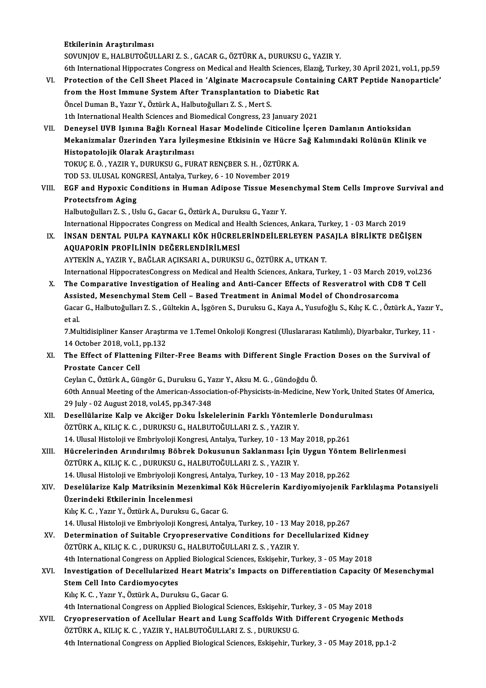Etkilerinin Araştırılması

SOVUNJOVE.,HALBUTOĞULLARIZ.S. ,GACARG.,ÖZTÜRKA.,DURUKSUG.,YAZIRY.

- 6th International Hippocrates Congress on Medical and Health Sciences, Elazığ, Turkey, 30 April 2021, vol.1, pp.59 SOVUNJOV E., HALBUTOĞULLARI Z. S. , GACAR G., ÖZTÜRK A., DURUKSU G., YAZIR Y.<br>6th International Hippocrates Congress on Medical and Health Sciences, Elazığ, Turkey, 30 April 2021, vol.1, pp.59<br>7. Protection of the Cell She 6th International Hippocrates Congress on Medical and Health Sciences, Elazy<br>Protection of the Cell Sheet Placed in 'Alginate Macrocapsule Contain<br>from the Host Immune System After Transplantation to Diabetic Rat<br>Öncel Dum
- Protection of the Cell Sheet Placed in 'Alginate Macroca<br>from the Host Immune System After Transplantation to<br>Öncel Duman B., Yazır Y., Öztürk A., Halbutoğulları Z. S. , Mert S.<br>1th International Hoalth Sciences and Biomed from the Host Immune System After Transplantation to Diabetic Rat<br>Öncel Duman B., Yazır Y., Öztürk A., Halbutoğulları Z. S., Mert S.<br>1th International Health Sciences and Biomedical Congress, 23 January 2021

VII. Deneysel UVB Işınına Bağlı Korneal Hasar Modelinde Citicoline İçeren Damlanın Antioksidan 1th International Health Sciences and Biomedical Congress, 23 January 2021<br>Deneysel UVB Işınına Bağlı Korneal Hasar Modelinde Citicoline İçeren Damlanın Antioksidan<br>Mekanizmalar Üzerinden Yara İyileşmesine Etkisinin ve Hüc Deneysel UVB Işınına Bağlı Kornea<br>Mekanizmalar Üzerinden Yara İyile<br>Histopatolojik Olarak Araştırılması<br>TOKUCE Ö. YAZIB V. DUBUKSU C. EU Mekanizmalar Üzerinden Yara İyileşmesine Etkisinin ve Hücre :<br>Histopatolojik Olarak Araştırılması<br>TOKUÇ E. Ö. , YAZIR Y., DURUKSU G., FURAT RENÇBER S. H. , ÖZTÜRK A.<br>TOD 52. ULUSAL KONCRESİ Antalya Turkay 6, 10 Navambar 20 Histopatolojik Olarak Araştırılması<br>TOKUÇ E. Ö. , YAZIR Y., DURUKSU G., FURAT RENÇBER S. H. , ÖZTÜRK A.<br>TOD 53. ULUSAL KONGRESİ, Antalya, Turkey, 6 - 10 November 2019

TOKUÇ E. Ö. , YAZIR Y., DURUKSU G., FURAT RENÇBER S. H. , ÖZTÜRK A.<br>TOD 53. ULUSAL KONGRESİ, Antalya, Turkey, 6 - 10 November 2019<br>VIII. EGF and Hypoxic Conditions in Human Adipose Tissue Mesenchymal Stem Cells Improve Protectsfrom Aging<br>Halbutoğulları Z. S., Uslu G., Gacar G., Öztürk A., Duruksu G., Yazır Y. EGF and Hypoxic Conditions in Human Adipose Tissue Mese<br>Protectsfrom Aging<br>Halbutoğulları Z. S. , Uslu G., Gacar G., Öztürk A., Duruksu G., Yazır Y.<br>International Hinneerates Congress on Medical and Health Sciences Protectsfrom Aging<br>Halbutoğulları Z. S. , Uslu G., Gacar G., Öztürk A., Duruksu G., Yazır Y.<br>International Hippocrates Congress on Medical and Health Sciences, Ankara, Turkey, 1 - 03 March 2019<br>INSAN DENTAL PHLBA KAYNAKLI

IX. İNSAN DENTAL PULPA KAYNAKLI KÖK HÜCRELERİNDEİLERLEYEN PASAJLA BİRLİKTE DEĞİŞEN International Hippocrates Congress on Medical and H<br>**İNSAN DENTAL PULPA KAYNAKLI KÖK HÜCREL**<br>AQUAPORİN PROFİLİNİN DEĞERLENDİRİLMESİ<br>AVTEKİN A. YAZIR V. BAĞLAR ACIKSARLA, DURUKSI AYTEKİNA.,YAZIRY.,BAĞLARAÇIKSARIA.,DURUKSUG.,ÖZTÜRKA.,UTKANT. AQUAPORIN PROFILININ DEĞERLENDIRILMESI<br>AYTEKIN A., YAZIR Y., BAĞLAR AÇIKSARI A., DURUKSU G., ÖZTÜRK A., UTKAN T.<br>International HippocratesCongress on Medical and Health Sciences, Ankara, Turkey, 1 - 03 March 2019, vol.236<br>

AYTEKİN A., YAZIR Y., BAĞLAR AÇIKSARI A., DURUKSU G., ÖZTÜRK A., UTKAN T.<br>International HippocratesCongress on Medical and Health Sciences, Ankara, Turkey, 1 - 03 March 2019, vol.2:<br>X. The Comparative Investigation of Heal International HippocratesCongress on Medical and Health Sciences, Ankara, Turkey, 1 - 03 March 2014<br>The Comparative Investigation of Healing and Anti-Cancer Effects of Resveratrol with CDE<br>Assisted, Mesenchymal Stem Cell – The Comparative Investigation of Healing and Anti-Cancer Effects of Resveratrol with CD8 T Cell<br>Assisted, Mesenchymal Stem Cell – Based Treatment in Animal Model of Chondrosarcoma<br>Gacar G., Halbutoğulları Z. S. , Gültekin Assi:<br>Gaca<br>et al.<br>7 Mu Gacar G., Halbutoğulları Z. S. , Gültekin A., İşgören S., Duruksu G., Kaya A., Yusufoğlu S., Kılıç K. C. , Öztürk A., Yazır `<br>et al.<br>7.Multidisipliner Kanser Araştırma ve 1.Temel Onkoloji Kongresi (Uluslararası Katılımlı), et al.<br>7 Multidisipliner Kanser Araştırma ve 1.Temel Onkoloji Kongresi (Uluslararası Katılımlı), Diyarbakır, Turkey, 11

14 October 2018, vol 1, pp 132

XI. The Effect of Flattening Filter-Free Beams with Different Single Fraction Doses on the Survival of The Effect of Flattening Filter-Free Beams with Different Single Framenostate Cancer Cell<br>Prostate Cancer Cell<br>Ceylan C., Öztürk A., Güngör G., Duruksu G., Yazır Y., Aksu M. G. , Gündoğdu Ö.<br>60th Annual Mesting of the Amer

60th Annual Meeting of the American-Association-of-Physicists-in-Medicine, New York, United States Of America,<br>29 July - 02 August 2018, vol.45, pp.347-348 Ceylan C., Öztürk A., Güngör G., Duruksu G., Ya<br>60th Annual Meeting of the American-Associa<br>29 July - 02 August 2018, vol.45, pp.347-348<br>Desellülerine Kelp ve Aksižer Deluy İska 60th Annual Meeting of the American-Association-of-Physicists-in-Medicine, New York, United<br>29 July - 02 August 2018, vol.45, pp.347-348<br>XII. Desellülarize Kalp ve Akciğer Doku İskelelerinin Farklı Yöntemlerle Dondurulması

- 29 July 02 August 2018, vol.45, pp.347-348<br>Desellülarize Kalp ve Akciğer Doku İskelelerinin Farklı Yöntem<br>ÖZTÜRK A., KILIÇ K. C. , DURUKSU G., HALBUTOĞULLARI Z. S. , YAZIR Y.<br>14 Hlucel Histoloji ve Embriyeleji Kongresi, Desellülarize Kalp ve Akciğer Doku İskelelerinin Farklı Yöntemlerle Donduru<br>ÖZTÜRK A., KILIÇ K. C. , DURUKSU G., HALBUTOĞULLARI Z. S. , YAZIR Y.<br>14. Ulusal Histoloji ve Embriyoloji Kongresi, Antalya, Turkey, 10 - 13 May 20
- ÖZTÜRK A., KILIÇ K. C. , DURUKSU G., HALBUTOĞULLARI Z. S. , YAZIR Y.<br>14. Ulusal Histoloji ve Embriyoloji Kongresi, Antalya, Turkey, 10 13 May 2018, pp.261<br>XIII. Hücrelerinden Arındırılmış Böbrek Dokusunun Saklanması 14. Ulusal Histoloji ve Embriyoloji Kongresi, Antalya, Turkey, 10 - 13 Ma<br>Hücrelerinden Arındırılmış Böbrek Dokusunun Saklanması İçin<br>ÖZTÜRK A., KILIÇ K. C. , DURUKSU G., HALBUTOĞULLARI Z. S. , YAZIR Y.<br>14. Ulusal Histoloj Hücrelerinden Arındırılmış Böbrek Dokusunun Saklanması İçin Uygun Yönter<br>ÖZTÜRK A., KILIÇ K. C. , DURUKSU G., HALBUTOĞULLARI Z. S. , YAZIR Y.<br>14. Ulusal Histoloji ve Embriyoloji Kongresi, Antalya, Turkey, 10 - 13 May 2018, ÖZTÜRK A., KILIÇ K. C. , DURUKSU G., HALBUTOĞULLARI Z. S. , YAZIR Y.<br>14. Ulusal Histoloji ve Embriyoloji Kongresi, Antalya, Turkey, 10 - 13 May 2018, pp.262<br>XIV. Deselülarize Kalp Matriksinin Mezenkimal Kök Hücrelerin

# 14. Ulusal Histoloji ve Embriyoloji Kong<br>Deselülarize Kalp Matriksinin Meze<br>Üzerindeki Etkilerinin İncelenmesi Deselülarize Kalp Matriksinin Mezenkimal K<br>Üzerindeki Etkilerinin İncelenmesi<br>Kılıç K. C. , Yazır Y., Öztürk A., Duruksu G., Gacar G.<br>14 Hlucel Histoleji ve Embriyaleji Kongresi Artalı Üzerindeki Etkilerinin İncelenmesi<br>Kılıç K. C. , Yazır Y., Öztürk A., Duruksu G., Gacar G.<br>14. Ulusal Histoloji ve Embriyoloji Kongresi, Antalya, Turkey, 10 - 13 May 2018, pp.267<br>Determination of Suitable Cryonreservative

Kılıç K. C. , Yazır Y., Öztürk A., Duruksu G., Gacar G.<br>14. Ulusal Histoloji ve Embriyoloji Kongresi, Antalya, Turkey, 10 - 13 May 2018, pp.267<br>XV. Determination of Suitable Cryopreservative Conditions for Decellulariz 14. Ulusal Histoloji ve Embriyoloji Kongresi, Antalya, Turkey, 10 - 13 Ma<br>Determination of Suitable Cryopreservative Conditions for Dec<br>ÖZTÜRK A., KILIÇ K. C. , DURUKSU G., HALBUTOĞULLARI Z. S. , YAZIR Y.<br>4th International Determination of Suitable Cryopreservative Conditions for Decellularized Kidney<br>ÖZTÜRK A., KILIÇ K. C. , DURUKSU G., HALBUTOĞULLARI Z. S. , YAZIR Y.<br>4th International Congress on Applied Biological Sciences, Eskişehir, Tur

ÖZTÜRK A., KILIÇ K. C. , DURUKSU G., HALBUTOĞULLARI Z. S. , YAZIR Y.<br>4th International Congress on Applied Biological Sciences, Eskişehir, Turkey, 3 - 05 May 2018<br>XVI. Investigation of Decellularized Heart Matrix's Imp 4th International Congress on Applied Biological Sciences, Eskişehir, Turkey, 3 - 05 May 2018<br>Investigation of Decellularized Heart Matrix's Impacts on Differentiation Capacity<br>Stem Cell Into Cardiomyocytes<br>Kılıç K. C. , Y Investigation of Decellularized Heart Matrix<br>Stem Cell Into Cardiomyocytes<br>Kılıç K. C. , Yazır Y., Öztürk A., Duruksu G., Gacar G.<br>4th International Congress on Annlied Bielegisel S Stem Cell Into Cardiomyocytes<br>Kılıç K. C. , Yazır Y., Öztürk A., Duruksu G., Gacar G.<br>4th International Congress on Applied Biological Sciences, Eskişehir, Turkey, 3 - 05 May 2018<br>Cuvennesenvation of Asellular Heart and Lu

XVII. Cryopreservation of Acellular Heart and Lung Scaffolds With Different Cryogenic Methods<br>ÖZTÜRK A., KILIÇ K. C., YAZIR Y., HALBUTOĞULLARI Z. S., DURUKSU G. 4th International Congress on Applied Biological Sciences, Eskişehir, Tu<br>Cryopreservation of Acellular Heart and Lung Scaffolds With D<br>ÖZTÜRK A., KILIÇ K. C. , YAZIR Y., HALBUTOĞULLARI Z. S. , DURUKSU G.<br>4th International 4th International Congress on Applied Biological Sciences, Eskişehir, Turkey, 3 - 05 May 2018, pp.1-2